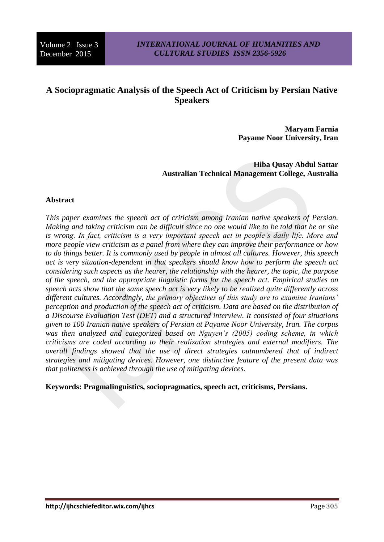# **A Sociopragmatic Analysis of the Speech Act of Criticism by Persian Native Speakers**

**Maryam Farnia Payame Noor University, Iran**

**Hiba Qusay Abdul Sattar Australian Technical Management College, Australia**

#### **Abstract**

*This paper examines the speech act of criticism among Iranian native speakers of Persian. Making and taking criticism can be difficult since no one would like to be told that he or she is wrong. In fact, criticism is a very important speech act in people's daily life. More and more people view criticism as a panel from where they can improve their performance or how to do things better. It is commonly used by people in almost all cultures. However, this speech act is very situation-dependent in that speakers should know how to perform the speech act considering such aspects as the hearer, the relationship with the hearer, the topic, the purpose of the speech, and the appropriate linguistic forms for the speech act. Empirical studies on speech acts show that the same speech act is very likely to be realized quite differently across different cultures. Accordingly, the primary objectives of this study are to examine Iranians' perception and production of the speech act of criticism. Data are based on the distribution of a Discourse Evaluation Test (DET) and a structured interview. It consisted of four situations given to 100 Iranian native speakers of Persian at Payame Noor University, Iran. The corpus was then analyzed and categorized based on Nguyen's (2005) coding scheme, in which criticisms are coded according to their realization strategies and external modifiers. The overall findings showed that the use of direct strategies outnumbered that of indirect strategies and mitigating devices. However, one distinctive feature of the present data was that politeness is achieved through the use of mitigating devices.*

**Keywords: Pragmalinguistics, sociopragmatics, speech act, criticisms, Persians.**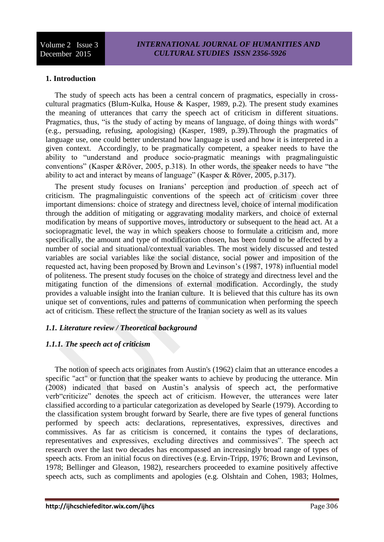### **1. Introduction**

The study of speech acts has been a central concern of pragmatics, especially in crosscultural pragmatics (Blum-Kulka, House & Kasper, 1989, p.2). The present study examines the meaning of utterances that carry the speech act of criticism in different situations. Pragmatics, thus, "is the study of acting by means of language, of doing things with words" (e.g., persuading, refusing, apologising) (Kasper, 1989, p.39).Through the pragmatics of language use, one could better understand how language is used and how it is interpreted in a given context. Accordingly, to be pragmatically competent, a speaker needs to have the ability to "understand and produce socio-pragmatic meanings with pragmalinguistic conventions" (Kasper &Röver, 2005, p.318). In other words, the speaker needs to have "the ability to act and interact by means of language" (Kasper & Röver, 2005, p.317).

The present study focuses on Iranians' perception and production of speech act of criticism. The pragmalinguistic conventions of the speech act of criticism cover three important dimensions: choice of strategy and directness level, choice of internal modification through the addition of mitigating or aggravating modality markers, and choice of external modification by means of supportive moves, introductory or subsequent to the head act. At a sociopragmatic level, the way in which speakers choose to formulate a criticism and, more specifically, the amount and type of modification chosen, has been found to be affected by a number of social and situational/contextual variables. The most widely discussed and tested variables are social variables like the social distance, social power and imposition of the requested act, having been proposed by Brown and Levinson's (1987, 1978) influential model of politeness. The present study focuses on the choice of strategy and directness level and the mitigating function of the dimensions of external modification. Accordingly, the study provides a valuable insight into the Iranian culture. It is believed that this culture has its own unique set of conventions, rules and patterns of communication when performing the speech act of criticism. These reflect the structure of the Iranian society as well as its values

### *1.1. Literature review / Theoretical background*

#### *1.1.1. The speech act of criticism*

The notion of speech acts originates from Austin's (1962) claim that an utterance encodes a specific "act" or function that the speaker wants to achieve by producing the utterance. Min (2008) indicated that based on Austin's analysis of speech act, the performative verb"criticize" denotes the speech act of criticism. However, the utterances were later classified according to a particular categorization as developed by Searle (1979). According to the classification system brought forward by Searle, there are five types of general functions performed by speech acts: declarations, representatives, expressives, directives and commissives. As far as criticism is concerned, it contains the types of declarations, representatives and expressives, excluding directives and commissives". The speech act research over the last two decades has encompassed an increasingly broad range of types of speech acts. From an initial focus on directives (e.g. Ervin-Tripp, 1976; Brown and Levinson, 1978; Bellinger and Gleason, 1982), researchers proceeded to examine positively affective speech acts, such as compliments and apologies (e.g. Olshtain and Cohen, 1983; Holmes,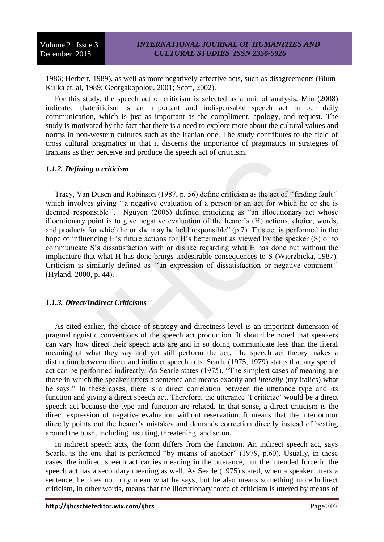1986; Herbert, 1989), as well as more negatively affective acts, such as disagreements (Blum-Kulka et. al, 1989; Georgakopolou, 2001; Scott, 2002).

For this study, the speech act of criticism is selected as a unit of analysis. Min (2008) indicated thatcriticism is an important and indispensable speech act in our daily communication, which is just as important as the compliment, apology, and request. The study is motivated by the fact that there is a need to explore more about the cultural values and norms in non-western cultures such as the Iranian one. The study contributes to the field of cross cultural pragmatics in that it discerns the importance of pragmatics in strategies of Iranians as they perceive and produce the speech act of criticism.

#### *1.1.2. Defining a criticism*

Tracy, Van Dusen and Robinson (1987, p. 56) define criticism as the act of ''finding fault'' which involves giving ''a negative evaluation of a person or an act for which he or she is deemed responsible''. Nguyen (2005) defined criticizing as "an illocutionary act whose illocutionary point is to give negative evaluation of the hearer's (H) actions, choice, words, and products for which he or she may be held responsible" (p.7). This act is performed in the hope of influencing H's future actions for H's betterment as viewed by the speaker (S) or to communicate S's dissatisfaction with or dislike regarding what H has done but without the implicature that what H has done brings undesirable consequences to S (Wierzbicka, 1987). Criticism is similarly defined as "an expression of dissatisfaction or negative comment" (Hyland, 2000, p. 44).

### *1.1.3. Direct/Indirect Criticisms*

As cited earlier, the choice of strategy and directness level is an important dimension of pragmalinguistic conventions of the speech act production. It should be noted that speakers can vary how direct their speech acts are and in so doing communicate less than the literal meaning of what they say and yet still perform the act. The speech act theory makes a distinction between direct and indirect speech acts. Searle (1975, 1979) states that any speech act can be performed indirectly. As Searle states (1975), "The simplest cases of meaning are those in which the speaker utters a sentence and means exactly and *literally* (my italics) what he says." In these cases, there is a direct correlation between the utterance type and its function and giving a direct speech act. Therefore, the utterance 'I criticize' would be a direct speech act because the type and function are related. In that sense, a direct criticism is the direct expression of negative evaluation without reservation. It means that the interlocutor directly points out the hearer's mistakes and demands correction directly instead of beating around the bush, including insulting, threatening, and so on.

In indirect speech acts, the form differs from the function. An indirect speech act, says Searle, is the one that is performed "by means of another" (1979, p.60). Usually, in these cases, the indirect speech act carries meaning in the utterance, but the intended force in the speech act has a secondary meaning as well. As Searle (1975) stated, when a speaker utters a sentence, he does not only mean what he says, but he also means something more.Indirect criticism, in other words, means that the illocutionary force of criticism is uttered by means of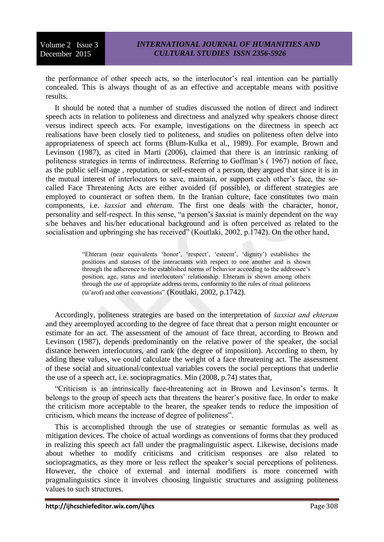the performance of other speech acts, so the interlocutor's real intention can be partially concealed. This is always thought of as an effective and acceptable means with positive results.

It should be noted that a number of studies discussed the notion of direct and indirect speech acts in relation to politeness and directness and analyzed why speakers choose direct versus indirect speech acts. For example, investigations on the directness in speech act realisations have been closely tied to politeness, and studies on politeness often delve into appropriateness of speech act forms (Blum-Kulka et al., 1989). For example, Brown and Levinson (1987), as cited in Marti (2006), claimed that there is an intrinsic ranking of politeness strategies in terms of indirectness. Referring to Goffman's ( 1967) notion of face, as the public self-image , reputation, or self-esteem of a person, they argued that since it is in the mutual interest of interlocutors to save, maintain, or support each other's face, the socalled Face Threatening Acts are either avoided (if possible), or different strategies are employed to counteract or soften them. In the Iranian culture, face constitutes two main components, i.e. *šaxsiat* and *ehteram*. The first one deals with the character, honor, personality and self-respect. In this sense, "a person's šaxsiat is mainly dependent on the way s/he behaves and his/her educational background and is often perceived as related to the socialisation and upbringing she has received" (Koutlaki, 2002, p.1742). On the other hand,

> "Ehteram (near equivalents 'honor', 'respect', 'esteem', 'dignity') establishes the positions and statuses of the interactants with respect to one another and is shown through the adherence to the established norms of behavior according to the addressee's position, age, status and interlocutors' relationship. Ehteram is shown among others through the use of appropriate address terms, conformity to the rules of ritual politeness (ta'arof) and other conventions" (Koutlaki, 2002, p.1742).

Accordingly, politeness strategies are based on the interpretation of *šaxsiat and ehteram* and they areemployed according to the degree of face threat that a person might encounter or estimate for an act. The assessment of the amount of face threat, according to Brown and Levinson (1987), depends predominantly on the relative power of the speaker, the social distance between interlocutors, and rank (the degree of imposition). According to them, by adding these values, we could calculate the weight of a face threatening act. The assessment of these social and situational/contextual variables covers the social perceptions that underlie the use of a speech act, i.e. sociopragmatics. Min (2008, p.74) states that,

"Criticism is an intrinsically face-threatening act in Brown and Levinson's terms. It belongs to the group of speech acts that threatens the hearer's positive face. In order to make the criticism more acceptable to the hearer, the speaker tends to reduce the imposition of criticism, which means the increase of degree of politeness".

This is accomplished through the use of strategies or semantic formulas as well as mitigation devices. The choice of actual wordings as conventions of forms that they produced in realizing this speech act fall under the pragmalinguistic aspect. Likewise, decisions made about whether to modify criticisms and criticism responses are also related to sociopragmatics, as they more or less reflect the speaker's social perceptions of politeness. However, the choice of external and internal modifiers is more concerned with pragmalinguistics since it involves choosing linguistic structures and assigning politeness values to such structures.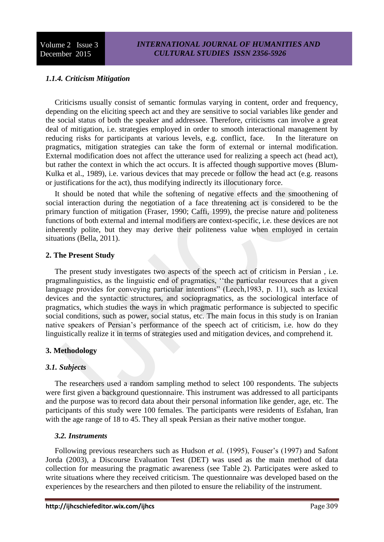### *1.1.4. Criticism Mitigation*

Criticisms usually consist of semantic formulas varying in content, order and frequency, depending on the eliciting speech act and they are sensitive to social variables like gender and the social status of both the speaker and addressee. Therefore, criticisms can involve a great deal of mitigation, i.e. strategies employed in order to smooth interactional management by reducing risks for participants at various levels, e.g. conflict, face. In the literature on pragmatics, mitigation strategies can take the form of external or internal modification. External modification does not affect the utterance used for realizing a speech act (head act), but rather the context in which the act occurs. It is affected though supportive moves (Blum-Kulka et al., 1989), i.e. various devices that may precede or follow the head act (e.g. reasons or justifications for the act), thus modifying indirectly its illocutionary force.

It should be noted that while the softening of negative effects and the smoothening of social interaction during the negotiation of a face threatening act is considered to be the primary function of mitigation (Fraser, 1990; Caffi, 1999), the precise nature and politeness functions of both external and internal modifiers are context-specific, i.e. these devices are not inherently polite, but they may derive their politeness value when employed in certain situations (Bella, 2011).

#### **2. The Present Study**

The present study investigates two aspects of the speech act of criticism in Persian , i.e. pragmalinguistics, as the linguistic end of pragmatics, ''the particular resources that a given language provides for conveying particular intentions" (Leech,1983, p. 11), such as lexical devices and the syntactic structures, and sociopragmatics, as the sociological interface of pragmatics, which studies the ways in which pragmatic performance is subjected to specific social conditions, such as power, social status, etc. The main focus in this study is on Iranian native speakers of Persian's performance of the speech act of criticism, i.e. how do they linguistically realize it in terms of strategies used and mitigation devices, and comprehend it.

#### **3. Methodology**

#### *3.1. Subjects*

The researchers used a random sampling method to select 100 respondents. The subjects were first given a background questionnaire. This instrument was addressed to all participants and the purpose was to record data about their personal information like gender, age, etc. The participants of this study were 100 females. The participants were residents of Esfahan, Iran with the age range of 18 to 45. They all speak Persian as their native mother tongue.

#### *3.2. Instruments*

Following previous researchers such as Hudson *et al.* (1995), Fouser's (1997) and Safont Jorda (2003), a Discourse Evaluation Test (DET) was used as the main method of data collection for measuring the pragmatic awareness (see Table 2). Participates were asked to write situations where they received criticism. The questionnaire was developed based on the experiences by the researchers and then piloted to ensure the reliability of the instrument.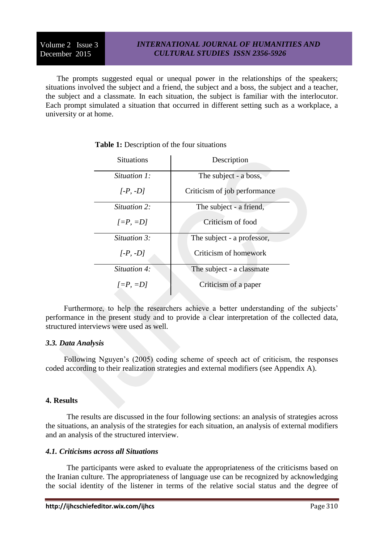The prompts suggested equal or unequal power in the relationships of the speakers; situations involved the subject and a friend, the subject and a boss, the subject and a teacher, the subject and a classmate. In each situation, the subject is familiar with the interlocutor. Each prompt simulated a situation that occurred in different setting such as a workplace, a university or at home.

| <b>Situations</b> | Description                  |  |  |
|-------------------|------------------------------|--|--|
| Situation 1:      | The subject - a boss,        |  |  |
| $[-P, -D]$        | Criticism of job performance |  |  |
| Situation 2:      | The subject - a friend,      |  |  |
| $[-P, =D]$        | Criticism of food            |  |  |
| Situation 3:      | The subject - a professor,   |  |  |
| $[-P, -D]$        | Criticism of homework        |  |  |
| Situation 4:      | The subject - a classmate    |  |  |
| $I = P$ , $= D I$ | Criticism of a paper         |  |  |

**Table 1:** Description of the four situations

Furthermore, to help the researchers achieve a better understanding of the subjects' performance in the present study and to provide a clear interpretation of the collected data, structured interviews were used as well.

#### *3.3. Data Analysis*

Following Nguyen's (2005) coding scheme of speech act of criticism, the responses coded according to their realization strategies and external modifiers (see Appendix A).

#### **4. Results**

The results are discussed in the four following sections: an analysis of strategies across the situations, an analysis of the strategies for each situation, an analysis of external modifiers and an analysis of the structured interview.

#### *4.1. Criticisms across all Situations*

The participants were asked to evaluate the appropriateness of the criticisms based on the Iranian culture. The appropriateness of language use can be recognized by acknowledging the social identity of the listener in terms of the relative social status and the degree of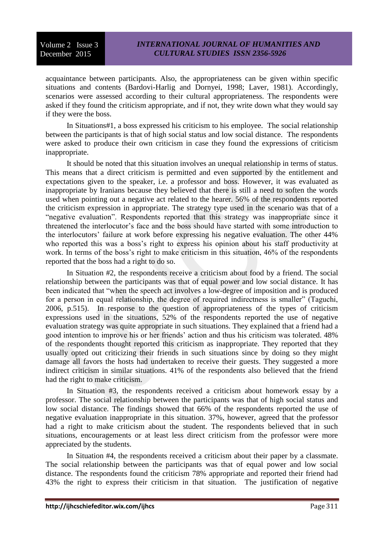acquaintance between participants. Also, the appropriateness can be given within specific situations and contents (Bardovi-Harlig and Dornyei, 1998; Laver, 1981). Accordingly, scenarios were assessed according to their cultural appropriateness. The respondents were asked if they found the criticism appropriate, and if not, they write down what they would say if they were the boss.

In Situations#1, a boss expressed his criticism to his employee. The social relationship between the participants is that of high social status and low social distance. The respondents were asked to produce their own criticism in case they found the expressions of criticism inappropriate.

It should be noted that this situation involves an unequal relationship in terms of status. This means that a direct criticism is permitted and even supported by the entitlement and expectations given to the speaker, i.e. a professor and boss. However, it was evaluated as inappropriate by Iranians because they believed that there is still a need to soften the words used when pointing out a negative act related to the hearer. 56% of the respondents reported the criticism expression in appropriate. The strategy type used in the scenario was that of a "negative evaluation". Respondents reported that this strategy was inappropriate since it threatened the interlocutor's face and the boss should have started with some introduction to the interlocutors' failure at work before expressing his negative evaluation. The other 44% who reported this was a boss's right to express his opinion about his staff productivity at work. In terms of the boss's right to make criticism in this situation, 46% of the respondents reported that the boss had a right to do so.

In Situation #2, the respondents receive a criticism about food by a friend. The social relationship between the participants was that of equal power and low social distance. It has been indicated that "when the speech act involves a low-degree of imposition and is produced for a person in equal relationship, the degree of required indirectness is smaller" (Taguchi, 2006, p.515). In response to the question of appropriateness of the types of criticism expressions used in the situations, 52% of the respondents reported the use of negative evaluation strategy was quite appropriate in such situations. They explained that a friend had a good intention to improve his or her friends' action and thus his criticism was tolerated. 48% of the respondents thought reported this criticism as inappropriate. They reported that they usually opted out criticizing their friends in such situations since by doing so they might damage all favors the hosts had undertaken to receive their guests. They suggested a more indirect criticism in similar situations. 41% of the respondents also believed that the friend had the right to make criticism.

In Situation #3, the respondents received a criticism about homework essay by a professor. The social relationship between the participants was that of high social status and low social distance. The findings showed that 66% of the respondents reported the use of negative evaluation inappropriate in this situation. 37%, however, agreed that the professor had a right to make criticism about the student. The respondents believed that in such situations, encouragements or at least less direct criticism from the professor were more appreciated by the students.

In Situation #4, the respondents received a criticism about their paper by a classmate. The social relationship between the participants was that of equal power and low social distance. The respondents found the criticism 78% appropriate and reported their friend had 43% the right to express their criticism in that situation. The justification of negative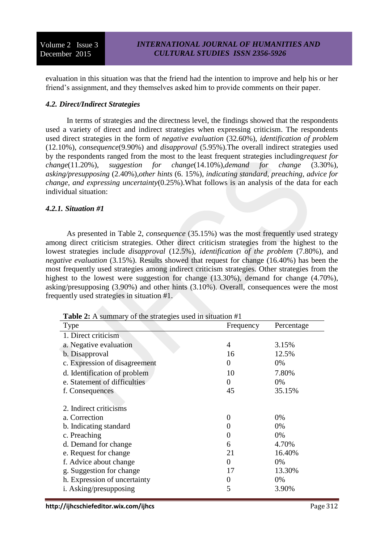evaluation in this situation was that the friend had the intention to improve and help his or her friend's assignment, and they themselves asked him to provide comments on their paper.

### *4.2. Direct/Indirect Strategies*

In terms of strategies and the directness level, the findings showed that the respondents used a variety of direct and indirect strategies when expressing criticism. The respondents used direct strategies in the form of *negative evaluation* (32.60%), *identification of problem* (12.10%), *consequence*(9.90%) and *disapproval* (5.95%).The overall indirect strategies used by the respondents ranged from the most to the least frequent strategies including*request for change*(11.20%), *suggestion for change*(14.10%),*demand for change* (3.30%), *asking/presupposing* (2.40%),*other hints* (6. 15%), *indicating standard, preaching, advice for change, and expressing uncertainty*(0.25%).What follows is an analysis of the data for each individual situation:

### *4.2.1. Situation #1*

As presented in Table 2, *consequence* (35.15%) was the most frequently used strategy among direct criticism strategies. Other direct criticism strategies from the highest to the lowest strategies include *disapproval* (12.5%), *identification of the problem* (7.80%), and *negative evaluation* (3.15%). Results showed that request for change (16.40%) has been the most frequently used strategies among indirect criticism strategies. Other strategies from the highest to the lowest were suggestion for change (13.30%), demand for change (4.70%), asking/presupposing (3.90%) and other hints (3.10%). Overall, consequences were the most frequently used strategies in situation #1.

**Table 2:** A summary of the strategies used in situation #1

| <b>Type</b>                   | Frequency    | Percentage |
|-------------------------------|--------------|------------|
| 1. Direct criticism           |              |            |
| a. Negative evaluation        | 4            | 3.15%      |
| b. Disapproval                | 16           | 12.5%      |
| c. Expression of disagreement | 0            | 0%         |
| d. Identification of problem  | 10           | 7.80%      |
| e. Statement of difficulties  | 0            | 0%         |
| f. Consequences               | 45           | 35.15%     |
|                               |              |            |
| 2. Indirect criticisms        |              |            |
| a. Correction                 | 0            | 0%         |
| b. Indicating standard        |              | 0%         |
| c. Preaching                  | 0            | 0%         |
| d. Demand for change          | 6            | 4.70%      |
| e. Request for change         | 21           | 16.40%     |
| f. Advice about change        | $\mathbf{0}$ | 0%         |
| g. Suggestion for change      | 17           | 13.30%     |
| h. Expression of uncertainty  | 0            | 0%         |
| i. Asking/presupposing        | 5            | 3.90%      |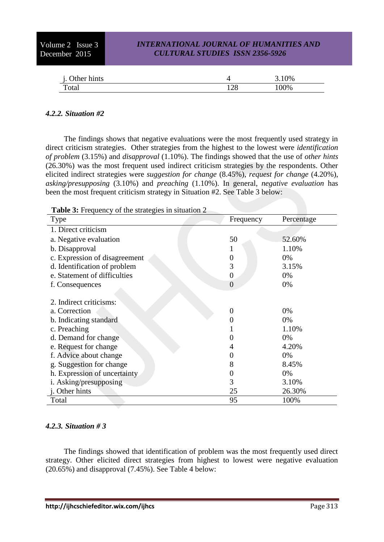| Other hints |              | 3.10% |
|-------------|--------------|-------|
| Total       | 1 7 0<br>⊥∠∪ | 100%  |

### *4.2.2. Situation #2*

The findings shows that negative evaluations were the most frequently used strategy in direct criticism strategies. Other strategies from the highest to the lowest were *identification of problem* (3.15%) and *disapproval* (1.10%). The findings showed that the use of *other hints* (26.30%) was the most frequent used indirect criticism strategies by the respondents. Other elicited indirect strategies were *suggestion for change* (8.45%), *request for change* (4.20%), *asking/presupposing* (3.10%) and *preaching* (1.10%). In general, *negative evaluation* has been the most frequent criticism strategy in Situation #2. See Table 3 below:

**Table 3:** Frequency of the strategies in situation 2

| <b>Type</b>                   | Frequency | Percentage |
|-------------------------------|-----------|------------|
| 1. Direct criticism           |           |            |
| a. Negative evaluation        | 50        | 52.60%     |
| b. Disapproval                |           | 1.10%      |
| c. Expression of disagreement |           | 0%         |
| d. Identification of problem  | 3         | 3.15%      |
| e. Statement of difficulties  | 0         | 0%         |
| f. Consequences               | $\theta$  | 0%         |
|                               |           |            |
| 2. Indirect criticisms:       |           |            |
| a. Correction                 | $\theta$  | 0%         |
| b. Indicating standard        |           | 0%         |
| c. Preaching                  |           | 1.10%      |
| d. Demand for change          |           | 0%         |
| e. Request for change         |           | 4.20%      |
| f. Advice about change        |           | 0%         |
| g. Suggestion for change      | 8         | 8.45%      |
| h. Expression of uncertainty  |           | 0%         |
| i. Asking/presupposing        | 3         | 3.10%      |
| j. Other hints                | 25        | 26.30%     |
| Total                         | 95        | 100%       |

### *4.2.3. Situation # 3*

The findings showed that identification of problem was the most frequently used direct strategy. Other elicited direct strategies from highest to lowest were negative evaluation (20.65%) and disapproval (7.45%). See Table 4 below: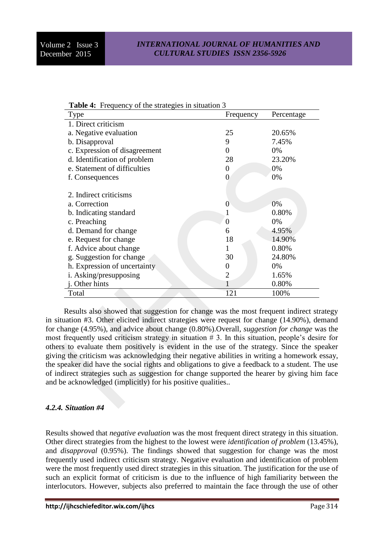| <b>Table 4:</b> Prequency of the strategies in situation 5 |                |            |  |
|------------------------------------------------------------|----------------|------------|--|
| <b>Type</b>                                                | Frequency      | Percentage |  |
| 1. Direct criticism                                        |                |            |  |
| a. Negative evaluation                                     | 25             | 20.65%     |  |
| b. Disapproval                                             | 9              | 7.45%      |  |
| c. Expression of disagreement                              | 0              | 0%         |  |
| d. Identification of problem                               | 28             | 23.20%     |  |
| e. Statement of difficulties                               | 0              | 0%         |  |
| f. Consequences                                            | $\overline{0}$ | 0%         |  |
|                                                            |                |            |  |
| 2. Indirect criticisms                                     |                |            |  |
| a. Correction                                              | $\overline{0}$ | 0%         |  |
| b. Indicating standard                                     |                | 0.80%      |  |
| c. Preaching                                               | 0              | 0%         |  |
| d. Demand for change                                       | 6              | 4.95%      |  |
| e. Request for change                                      | 18             | 14.90%     |  |
| f. Advice about change                                     | 1              | 0.80%      |  |
| g. Suggestion for change                                   | 30             | 24.80%     |  |
| h. Expression of uncertainty                               | 0              | 0%         |  |
| i. Asking/presupposing                                     | $\overline{2}$ | 1.65%      |  |
| j. Other hints                                             |                | 0.80%      |  |
| Total                                                      | 121            | 100%       |  |

|  | Table 4: Frequency of the strategies in situation 3 |  |  |  |
|--|-----------------------------------------------------|--|--|--|
|--|-----------------------------------------------------|--|--|--|

Results also showed that suggestion for change was the most frequent indirect strategy in situation #3. Other elicited indirect strategies were request for change (14.90%), demand for change (4.95%), and advice about change (0.80%).Overall, *suggestion for change* was the most frequently used criticism strategy in situation  $# 3$ . In this situation, people's desire for others to evaluate them positively is evident in the use of the strategy. Since the speaker giving the criticism was acknowledging their negative abilities in writing a homework essay, the speaker did have the social rights and obligations to give a feedback to a student. The use of indirect strategies such as suggestion for change supported the hearer by giving him face and be acknowledged (implicitly) for his positive qualities..

### *4.2.4. Situation #4*

Results showed that *negative evaluation* was the most frequent direct strategy in this situation. Other direct strategies from the highest to the lowest were *identification of problem* (13.45%), and *disapproval* (0.95%). The findings showed that suggestion for change was the most frequently used indirect criticism strategy. Negative evaluation and identification of problem were the most frequently used direct strategies in this situation. The justification for the use of such an explicit format of criticism is due to the influence of high familiarity between the interlocutors. However, subjects also preferred to maintain the face through the use of other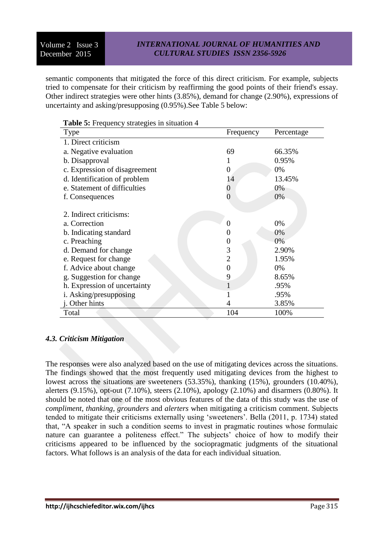semantic components that mitigated the force of this direct criticism. For example, subjects tried to compensate for their criticism by reaffirming the good points of their friend's essay. Other indirect strategies were other hints (3.85%), demand for change (2.90%), expressions of uncertainty and asking/presupposing (0.95%).See Table 5 below:

| <b>Radic S.</b> Frequency strategies in struation $\overline{a}$<br>Type | Frequency        | Percentage |
|--------------------------------------------------------------------------|------------------|------------|
| 1. Direct criticism                                                      |                  |            |
| a. Negative evaluation                                                   | 69               | 66.35%     |
| b. Disapproval                                                           | 1                | 0.95%      |
| c. Expression of disagreement                                            | $\overline{0}$   | 0%         |
| d. Identification of problem                                             | 14               | 13.45%     |
| e. Statement of difficulties                                             | 0                | 0%         |
| f. Consequences                                                          | 0                | 0%         |
| 2. Indirect criticisms:                                                  |                  |            |
| a. Correction                                                            | 0                | 0%         |
| b. Indicating standard                                                   | $_{0}$           | 0%         |
| c. Preaching                                                             | $\boldsymbol{0}$ | 0%         |
| d. Demand for change                                                     | 3                | 2.90%      |
| e. Request for change                                                    | 2                | 1.95%      |
| f. Advice about change                                                   | $\overline{0}$   | 0%         |
| g. Suggestion for change                                                 | 9                | 8.65%      |
| h. Expression of uncertainty                                             |                  | .95%       |
| i. Asking/presupposing                                                   |                  | .95%       |
| j. Other hints                                                           | 4                | 3.85%      |
| Total                                                                    | 104              | 100%       |

#### **Table 5:** Frequency strategies in situation 4

#### *4.3. Criticism Mitigation*

The responses were also analyzed based on the use of mitigating devices across the situations. The findings showed that the most frequently used mitigating devices from the highest to lowest across the situations are sweeteners (53.35%), thanking (15%), grounders (10.40%), alerters (9.15%), opt-out (7.10%), steers (2.10%), apology (2.10%) and disarmers (0.80%). It should be noted that one of the most obvious features of the data of this study was the use of *compliment*, *thanking, grounders* and *alerters* when mitigating a criticism comment. Subjects tended to mitigate their criticisms externally using 'sweeteners'. Bella (2011, p. 1734) stated that, "A speaker in such a condition seems to invest in pragmatic routines whose formulaic nature can guarantee a politeness effect." The subjects' choice of how to modify their criticisms appeared to be influenced by the sociopragmatic judgments of the situational factors. What follows is an analysis of the data for each individual situation.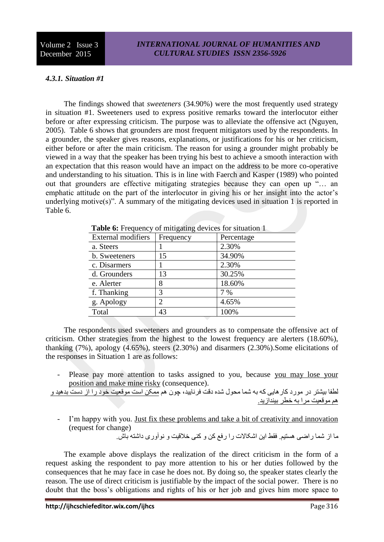### *4.3.1. Situation #1*

The findings showed that *sweeteners* (34.90%) were the most frequently used strategy in situation #1. Sweeteners used to express positive remarks toward the interlocutor either before or after expressing criticism. The purpose was to alleviate the offensive act (Nguyen, 2005). Table 6 shows that grounders are most frequent mitigators used by the respondents. In a grounder, the speaker gives reasons, explanations, or justifications for his or her criticism, either before or after the main criticism. The reason for using a grounder might probably be viewed in a way that the speaker has been trying his best to achieve a smooth interaction with an expectation that this reason would have an impact on the address to be more co-operative and understanding to his situation. This is in line with Faerch and Kasper (1989) who pointed out that grounders are effective mitigating strategies because they can open up "… an emphatic attitude on the part of the interlocutor in giving his or her insight into the actor's underlying motive(s)". A summary of the mitigating devices used in situation 1 is reported in Table 6.

| <b>rapic 0.</b> Producity of fininguing devices for situation 1 |            |
|-----------------------------------------------------------------|------------|
| Frequency                                                       | Percentage |
|                                                                 | 2.30%      |
| 15                                                              | 34.90%     |
|                                                                 | 2.30%      |
| 13                                                              | 30.25%     |
| 8                                                               | 18.60%     |
| 3                                                               | 7 %        |
| $\overline{c}$                                                  | 4.65%      |
| 43                                                              | 100%       |
|                                                                 |            |

**Table 6:** Frequency of mitigating devices for situation 1

The respondents used sweeteners and grounders as to compensate the offensive act of criticism. Other strategies from the highest to the lowest frequency are alerters (18.60%), thanking (7%), apology (4.65%), steers (2.30%) and disarmers (2.30%).Some elicitations of the responses in Situation 1 are as follows:

Please pay more attention to tasks assigned to you, because you may lose your position and make mine risky (consequence).

لطفا بیشتر در مورد کارهایی که به شما محول شده دقت فرنایید، چون هم ممکن است موقعیت خود را از دست بدهید و هم موقعیت مرا به خطر بیندازید.

I'm happy with you. Just fix these problems and take a bit of creativity and innovation (request for change)

ما از شما راضی هستیم. فقط این اشکاالت را رفع کن و کنی خالقیت و نوآوری داشته باش.

The example above displays the realization of the direct criticism in the form of a request asking the respondent to pay more attention to his or her duties followed by the consequences that he may face in case he does not. By doing so, the speaker states clearly the reason. The use of direct criticism is justifiable by the impact of the social power. There is no doubt that the boss's obligations and rights of his or her job and gives him more space to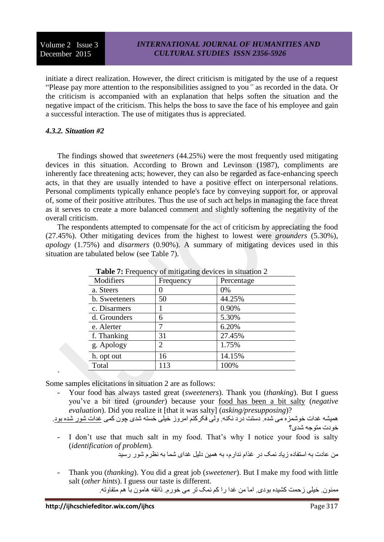initiate a direct realization. However, the direct criticism is mitigated by the use of a request "Please pay more attention to the responsibilities assigned to you*"* as recorded in the data. Or the criticism is accompanied with an explanation that helps soften the situation and the negative impact of the criticism. This helps the boss to save the face of his employee and gain a successful interaction. The use of mitigates thus is appreciated.

### *4.3.2. Situation #2*

`

The findings showed that *sweeteners* (44.25%) were the most frequently used mitigating devices in this situation. According to Brown and Levinson (1987), compliments are inherently face threatening acts; however, they can also be regarded as face-enhancing speech acts, in that they are usually intended to have a positive effect on interpersonal relations. Personal compliments typically enhance people's face by conveying support for, or approval of, some of their positive attributes. Thus the use of such act helps in managing the face threat as it serves to create a more balanced comment and slightly softening the negativity of the overall criticism.

The respondents attempted to compensate for the act of criticism by appreciating the food (27.45%). Other mitigating devices from the highest to lowest were *grounders* (5.30%), *apology* (1.75%) and *disarmers* (0.90%). A summary of mitigating devices used in this situation are tabulated below (see Table 7).

| <b>Table</b> <i>i</i> : Frequency of mitigating devices in situation $\angle$ |           |            |  |
|-------------------------------------------------------------------------------|-----------|------------|--|
| Modifiers                                                                     | Frequency | Percentage |  |
| a. Steers                                                                     |           | 0%         |  |
| b. Sweeteners                                                                 | 50        | 44.25%     |  |
| c. Disarmers                                                                  |           | 0.90%      |  |
| d. Grounders                                                                  | 6         | 5.30%      |  |
| e. Alerter                                                                    |           | 6.20%      |  |
| f. Thanking                                                                   | 31        | 27.45%     |  |
| g. Apology                                                                    | 2         | 1.75%      |  |
| h. opt out                                                                    | 16        | 14.15%     |  |
| Total                                                                         | 113       | 100%       |  |

**Table 7:** Frequency of mitigating devices in situation 2

Some samples elicitations in situation 2 are as follows:

Your food has always tasted great (*sweeteners*). Thank you (*thanking*). But I guess you've a bit tired (*grounder*) because your food has been a bit salty (*negative evaluation*). Did you realize it [that it was salty] (*asking/presupposing*)?

همیشه غدات خوشمزه می شده. دستت درد نکنه. ولی فکرکنم امروز خیلی خسته شدی چون کمی غدات شور شده بود. خودت متوجه شدی؟

- I don't use that much salt in my food. That's why I notice your food is salty (*identification of problem*)*.*

من عادت به استفاده زیاد نمک در غذام ندارم، به همین دلیل غدای شما به نظرم شور رسید

- Thank you (*thanking*). You did a great job (*sweetener*). But I make my food with little salt (*other hints*). I guess our taste is different. ممنون. خیلی زحمت کشیده بودی. اما من غدا را کم نمک تر می خورم. ذائقه هامون با هم متفاوته.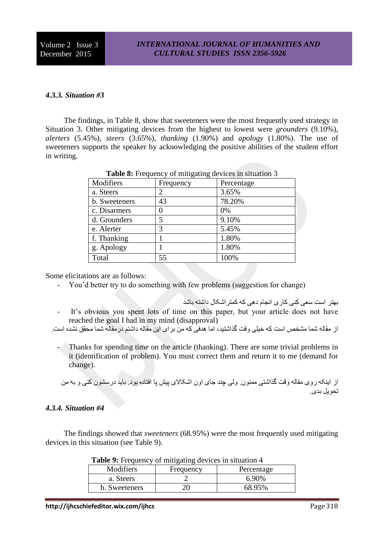Volume 2 Issue 3 December 2015

### *4.3.3. Situation #3*

The findings, in Table 8, show that sweeteners were the most frequently used strategy in Situation 3. Other mitigating devices from the highest to lowest were *grounders* (9.10%), *alerters* (5.45%), *steers* (3.65%), *thanking* (1.90%) and *apology* (1.80%). The use of sweeteners supports the speaker by acknowledging the positive abilities of the student effort in writing.

|               | ັ         |            |
|---------------|-----------|------------|
| Modifiers     | Frequency | Percentage |
| a. Steers     | 2         | 3.65%      |
| b. Sweeteners | 43        | 78.20%     |
| c. Disarmers  |           | 0%         |
| d. Grounders  | 5         | 9.10%      |
| e. Alerter    | 3         | 5.45%      |
| f. Thanking   |           | 1.80%      |
| g. Apology    |           | 1.80%      |
| Total         | 55        | 100%       |

**Table 8:** Frequency of mitigating devices in situation 3

Some elicitations are as follows:

- You'd better try to do something with few problems (suggestion for change)
- بهتر است سعی کنی کاری انجام دهی که کمتراشکال داشته باشد - It's obvious you spent lots of time on this paper, but your article does not have reached the goal I had in my mind (disapproval)

از مقاله شما مشخص است که خیلی وقت گذاشتید، اما هدفی که من برای این مقاله داشتم درمقاله شما محقق نشده است.

Thanks for spending time on the article (thanking). There are some trivial problems in it (identification of problem). You must correct them and return it to me (demand for change).

از اینکه روی مقاله وقت گذاشتی ممنون. ولی چند جای اون اشکاالی پیش پا افتاده بود. باید درسشون کنی و به من تحویل بدی.

### *4.3.4. Situation #4*

The findings showed that *sweeteners* (68.95%) were the most frequently used mitigating devices in this situation (see Table 9).

| Modifiers     | Frequency | Percentage |  |
|---------------|-----------|------------|--|
| a. Steers     |           | 6.90%      |  |
| b. Sweeteners |           | 68.95%     |  |
|               |           |            |  |

|  |  | Table 9: Frequency of mitigating devices in situation 4 |  |  |
|--|--|---------------------------------------------------------|--|--|
|--|--|---------------------------------------------------------|--|--|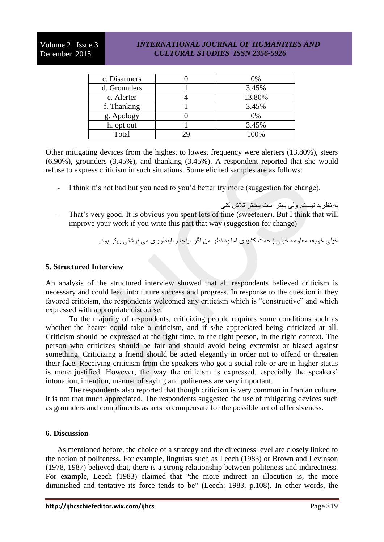| c. Disarmers | 0%     |
|--------------|--------|
| d. Grounders | 3.45%  |
| e. Alerter   | 13.80% |
| f. Thanking  | 3.45%  |
| g. Apology   | $0\%$  |
| h. opt out   | 3.45%  |
| Total        | 100%   |

Other mitigating devices from the highest to lowest frequency were alerters (13.80%), steers (6.90%), grounders (3.45%), and thanking (3.45%). A respondent reported that she would refuse to express criticism in such situations. Some elicited samples are as follows:

- I think it's not bad but you need to you'd better try more (suggestion for change).
- به نظربد نیست. ولی بهتر است بیشتر تالش کنی - That's very good. It is obvious you spent lots of time (sweetener). But I think that will improve your work if you write this part that way (suggestion for change)

خیلی خوبه، معلومه خیلی زحمت کشیدی اما به نظر من اگر اینجا رااینطوری می نوشتی بهتر بود.

### **5. Structured Interview**

An analysis of the structured interview showed that all respondents believed criticism is necessary and could lead into future success and progress. In response to the question if they favored criticism, the respondents welcomed any criticism which is "constructive" and which expressed with appropriate discourse.

To the majority of respondents, criticizing people requires some conditions such as whether the hearer could take a criticism, and if s/he appreciated being criticized at all. Criticism should be expressed at the right time, to the right person, in the right context. The person who criticizes should be fair and should avoid being extremist or biased against something. Criticizing a friend should be acted elegantly in order not to offend or threaten their face. Receiving criticism from the speakers who got a social role or are in higher status is more justified. However, the way the criticism is expressed, especially the speakers' intonation, intention, manner of saying and politeness are very important.

The respondents also reported that though criticism is very common in Iranian culture, it is not that much appreciated. The respondents suggested the use of mitigating devices such as grounders and compliments as acts to compensate for the possible act of offensiveness.

### **6. Discussion**

As mentioned before, the choice of a strategy and the directness level are closely linked to the notion of politeness. For example, linguists such as Leech (1983) or Brown and Levinson (1978, 1987) believed that, there is a strong relationship between politeness and indirectness. For example, Leech (1983) claimed that "the more indirect an illocution is, the more diminished and tentative its force tends to be" (Leech; 1983, p.108). In other words, the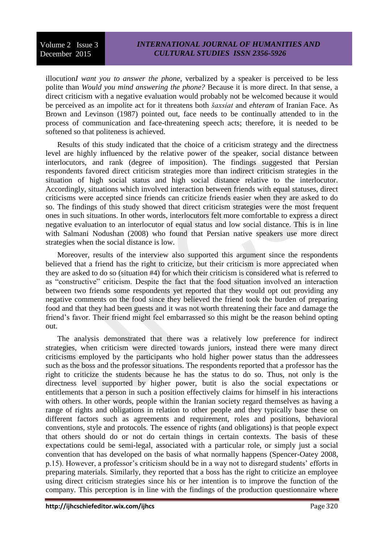illocution*I want you to answer the phone*, verbalized by a speaker is perceived to be less polite than *Would you mind answering the phone?* Because it is more direct. In that sense, a direct criticism with a negative evaluation would probably not be welcomed because it would be perceived as an impolite act for it threatens both *šaxsiat* and *ehteram* of Iranian Face. As Brown and Levinson (1987) pointed out, face needs to be continually attended to in the process of communication and face-threatening speech acts; therefore, it is needed to be softened so that politeness is achieved.

Results of this study indicated that the choice of a criticism strategy and the directness level are highly influenced by the relative power of the speaker, social distance between interlocutors, and rank (degree of imposition). The findings suggested that Persian respondents favored direct criticism strategies more than indirect criticism strategies in the situation of high social status and high social distance relative to the interlocutor. Accordingly, situations which involved interaction between friends with equal statuses, direct criticisms were accepted since friends can criticize friends easier when they are asked to do so. The findings of this study showed that direct criticism strategies were the most frequent ones in such situations. In other words, interlocutors felt more comfortable to express a direct negative evaluation to an interlocutor of equal status and low social distance. This is in line with Salmani Nodushan (2008) who found that Persian native speakers use more direct strategies when the social distance is low.

Moreover, results of the interview also supported this argument since the respondents believed that a friend has the right to criticize, but their criticism is more appreciated when they are asked to do so (situation #4) for which their criticism is considered what is referred to as "constructive" criticism. Despite the fact that the food situation involved an interaction between two friends some respondents yet reported that they would opt out providing any negative comments on the food since they believed the friend took the burden of preparing food and that they had been guests and it was not worth threatening their face and damage the friend's favor. Their friend might feel embarrassed so this might be the reason behind opting out.

The analysis demonstrated that there was a relatively low preference for indirect strategies, when criticism were directed towards juniors, instead there were many direct criticisms employed by the participants who hold higher power status than the addressees such as the boss and the professor situations. The respondents reported that a professor has the right to criticize the students because he has the status to do so. Thus, not only is the directness level supported by higher power, butit is also the social expectations or entitlements that a person in such a position effectively claims for himself in his interactions with others. In other words, people within the Iranian society regard themselves as having a range of rights and obligations in relation to other people and they typically base these on different factors such as agreements and requirement, roles and positions, behavioral conventions, style and protocols. The essence of rights (and obligations) is that people expect that others should do or not do certain things in certain contexts. The basis of these expectations could be semi-legal, associated with a particular role, or simply just a social convention that has developed on the basis of what normally happens (Spencer-Oatey 2008, p.15). However, a professor's criticism should be in a way not to disregard students' efforts in preparing materials. Similarly, they reported that a boss has the right to criticize an employee using direct criticism strategies since his or her intention is to improve the function of the company. This perception is in line with the findings of the production questionnaire where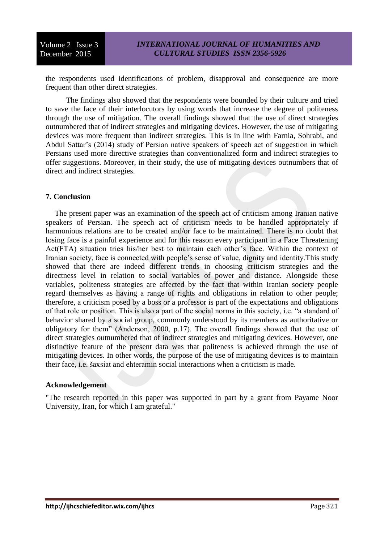the respondents used identifications of problem, disapproval and consequence are more frequent than other direct strategies.

The findings also showed that the respondents were bounded by their culture and tried to save the face of their interlocutors by using words that increase the degree of politeness through the use of mitigation. The overall findings showed that the use of direct strategies outnumbered that of indirect strategies and mitigating devices. However, the use of mitigating devices was more frequent than indirect strategies. This is in line with Farnia, Sohrabi, and Abdul Sattar's (2014) study of Persian native speakers of speech act of suggestion in which Persians used more directive strategies than conventionalized form and indirect strategies to offer suggestions. Moreover, in their study, the use of mitigating devices outnumbers that of direct and indirect strategies.

#### **7. Conclusion**

The present paper was an examination of the speech act of criticism among Iranian native speakers of Persian. The speech act of criticism needs to be handled appropriately if harmonious relations are to be created and/or face to be maintained. There is no doubt that losing face is a painful experience and for this reason every participant in a Face Threatening Act(FTA) situation tries his/her best to maintain each other's face. Within the context of Iranian society, face is connected with people's sense of value, dignity and identity.This study showed that there are indeed different trends in choosing criticism strategies and the directness level in relation to social variables of power and distance. Alongside these variables, politeness strategies are affected by the fact that within Iranian society people regard themselves as having a range of rights and obligations in relation to other people; therefore, a criticism posed by a boss or a professor is part of the expectations and obligations of that role or position. This is also a part of the social norms in this society, i.e. "a standard of behavior shared by a social group, commonly understood by its members as authoritative or obligatory for them" (Anderson, 2000, p.17). The overall findings showed that the use of direct strategies outnumbered that of indirect strategies and mitigating devices. However, one distinctive feature of the present data was that politeness is achieved through the use of mitigating devices. In other words, the purpose of the use of mitigating devices is to maintain their face, i.e. šaxsiat and ehteramin social interactions when a criticism is made.

#### **Acknowledgement**

"The research reported in this paper was supported in part by a grant from Payame Noor University, Iran, for which I am grateful."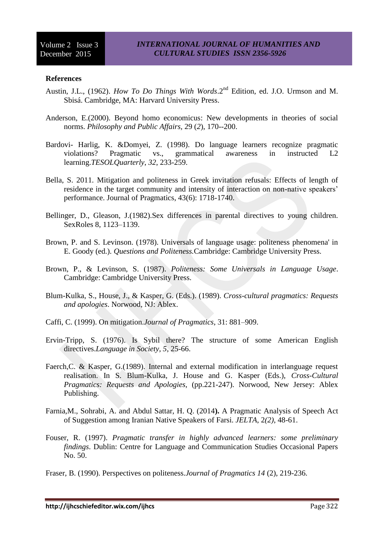#### **References**

- Austin, J.L., (1962). *How To Do Things With Words*.2nd Edition, ed. J.O. Urmson and M. Sbisá. Cambridge, MA: Harvard University Press.
- Anderson, E.(2000). Beyond homo economicus: New developments in theories of social norms. *Philosophy and Public Affairs,* 29 (*2*), 170--200.
- Bardovi- Harlig, K. &Domyei, Z. (1998). Do language learners recognize pragmatic violations? Pragmatic vs., grammatical awareness in instructed L2 learning.*TESOLQuarterly*, *32*, 233-259.
- Bella, S. 2011. Mitigation and politeness in Greek invitation refusals: Effects of length of residence in the target community and intensity of interaction on non-native speakers' performance. Journal of Pragmatics, 43(6): 1718-1740.
- Bellinger, D., Gleason, J.(1982).Sex differences in parental directives to young children. SexRoles 8, 1123–1139.
- Brown, P. and S. Levinson. (1978). Universals of language usage: politeness phenomena' in E. Goody (ed.). *Questions and Politeness.*Cambridge: Cambridge University Press.
- Brown, P., & Levinson, S. (1987). *Politeness: Some Universals in Language Usage*. Cambridge: Cambridge University Press.
- Blum-Kulka, S., House, J., & Kasper, G. (Eds.). (1989). *Cross-cultural pragmatics: Requests and apologies*. Norwood, NJ: Ablex.
- Caffi, C. (1999). On mitigation.*Journal of Pragmatics*, 31: 881–909.
- Ervin-Tripp, S. (1976). Is Sybil there? The structure of some American English directives.*Language in Society, 5*, 25-66.
- Faerch,C. & Kasper, G.(1989). Internal and external modification in interlanguage request realisation. In S. Blum-Kulka, J. House and G. Kasper (Eds.), *Cross-Cultural Pragmatics: Requests and Apologies,* (pp.221-247). Norwood, New Jersey: Ablex Publishing.
- Farnia,M., Sohrabi, A. and Abdul Sattar, H. Q. (2014**).** A Pragmatic Analysis of Speech Act of Suggestion among Iranian Native Speakers of Farsi. *JELTA*, 2*(2)*, 48-61.
- Fouser, R. (1997). *Pragmatic transfer in highly advanced learners: some preliminary findings*. Dublin: Centre for Language and Communication Studies Occasional Papers No. 50.

Fraser, B. (1990). Perspectives on politeness.*Journal of Pragmatics 14* (2), 219-236.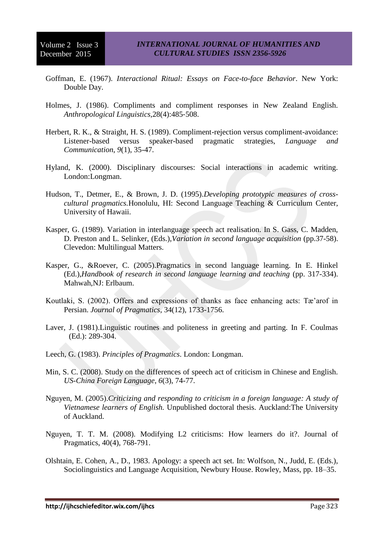- Goffman, E. (1967). *Interactional Ritual: Essays on Face-to-face Behavior*. New York: Double Day.
- Holmes, J. (1986). Compliments and compliment responses in New Zealand English. *Anthropological Linguistics,*28(4):485‐508.
- Herbert, R. K., & Straight, H. S. (1989). Compliment-rejection versus compliment-avoidance: Listener-based versus speaker-based pragmatic strategies, *Language and Communication*, *9*(1), 35-47.
- Hyland, K. (2000). Disciplinary discourses: Social interactions in academic writing. London:Longman.
- Hudson, T., Detmer, E., & Brown, J. D. (1995).*Developing prototypic measures of crosscultural pragmatics.*Honolulu, HI: Second Language Teaching & Curriculum Center, University of Hawaii.
- Kasper, G. (1989). Variation in interlanguage speech act realisation. In S. Gass, C. Madden, D. Preston and L. Selinker, (Eds.),*Variation in second language acquisition* (pp.37-58). Clevedon: Multilingual Matters.
- Kasper, G., &Roever, C. (2005).Pragmatics in second language learning. In E. Hinkel (Ed.),*Handbook of research in second language learning and teaching* (pp. 317-334). Mahwah,NJ: Erlbaum.
- Koutlaki, S. (2002). Offers and expressions of thanks as face enhancing acts: Tæ'arof in Persian. *Journal of Pragmatics*, 34(12), 1733-1756.
- Laver, J. (1981).Linguistic routines and politeness in greeting and parting. In F. Coulmas (Ed.): 289-304.
- Leech, G. (1983). *Principles of Pragmatics*. London: Longman.
- Min, S. C. (2008). Study on the differences of speech act of criticism in Chinese and English. *US-China Foreign Language*, *6*(3), 74-77.
- Nguyen, M. (2005).*Criticizing and responding to criticism in a foreign language: A study of Vietnamese learners of English.* Unpublished doctoral thesis. Auckland:The University of Auckland.
- Nguyen, T. T. M. (2008). Modifying L2 criticisms: How learners do it?. Journal of Pragmatics, 40(4), 768-791.
- Olshtain, E. Cohen, A., D., 1983. Apology: a speech act set. In: Wolfson, N., Judd, E. (Eds.), Sociolinguistics and Language Acquisition, Newbury House. Rowley, Mass, pp. 18–35.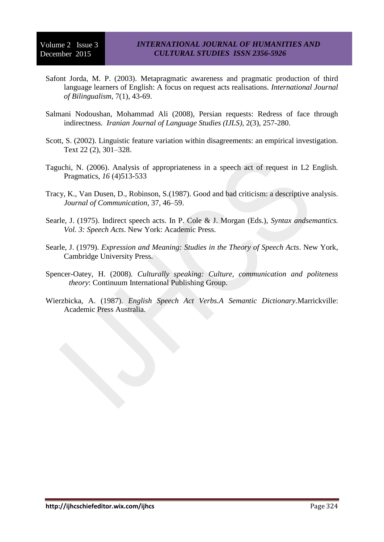- Safont Jorda, M. P. (2003). Metapragmatic awareness and pragmatic production of third language learners of English: A focus on request acts realisations. *International Journal of Bilingualism,* 7(1), 43-69.
- Salmani Nodoushan, Mohammad Ali (2008), Persian requests: Redress of face through indirectness. *Iranian Journal of Language Studies (IJLS),* 2(3), 257-280.
- Scott, S. (2002). Linguistic feature variation within disagreements: an empirical investigation. Text 22 (2), 301–328.
- Taguchi, N. (2006). Analysis of appropriateness in a speech act of request in L2 English. Pragmatics, *16* (4)513-533
- Tracy, K., Van Dusen, D., Robinson, S.(1987). Good and bad criticism: a descriptive analysis. *Journal of Communication,* 37, 46–59.
- Searle, J. (1975). Indirect speech acts. In P. Cole & J. Morgan (Eds.), *Syntax andsemantics. Vol. 3: Speech Acts*. New York: Academic Press.
- Searle, J. (1979). *Expression and Meaning: Studies in the Theory of Speech Acts*. New York, Cambridge University Press.
- Spencer-Oatey, H. (2008). *Culturally speaking: Culture, communication and politeness theory*: Continuum International Publishing Group.
- Wierzbicka, A. (1987). *English Speech Act Verbs.A Semantic Dictionary*.Marrickville: Academic Press Australia.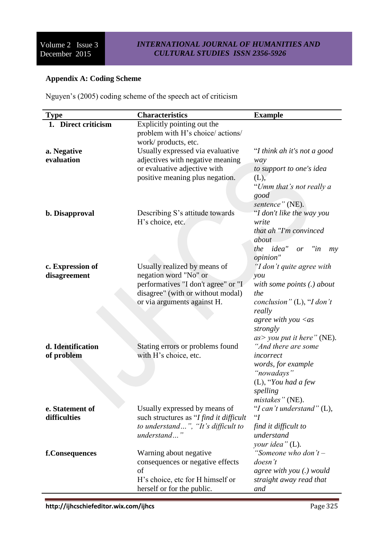## **Appendix A: Coding Scheme**

Nguyen's (2005) coding scheme of the speech act of criticism

| <b>Type</b>         | <b>Characteristics</b>                                                                  | <b>Example</b>                   |
|---------------------|-----------------------------------------------------------------------------------------|----------------------------------|
| 1. Direct criticism | Explicitly pointing out the<br>problem with H's choice/ actions/<br>work/products, etc. |                                  |
| a. Negative         | Usually expressed via evaluative                                                        | "I think ah it's not a good      |
| evaluation          | adjectives with negative meaning                                                        | way                              |
|                     | or evaluative adjective with                                                            | to support to one's idea         |
|                     | positive meaning plus negation.                                                         | (L),                             |
|                     |                                                                                         | "Umm that's not really a<br>good |
|                     |                                                                                         | sentence" (NE).                  |
| b. Disapproval      | Describing S's attitude towards                                                         | "I don't like the way you        |
|                     | H's choice, etc.                                                                        | write                            |
|                     |                                                                                         | that ah "I'm convinced"          |
|                     |                                                                                         | about<br>the idea" or "in        |
|                     |                                                                                         | my<br>opinion"                   |
| c. Expression of    | Usually realized by means of                                                            | "I don't quite agree with        |
| disagreement        | negation word "No" or                                                                   | you                              |
|                     | performatives "I don't agree" or "I                                                     | with some points (.) about       |
|                     | disagree" (with or without modal)                                                       | the                              |
|                     | or via arguments against H.                                                             | conclusion" $(L)$ , "I don't     |
|                     |                                                                                         | really                           |
|                     |                                                                                         | agree with you $\langle as$      |
|                     |                                                                                         | strongly                         |
|                     |                                                                                         | $as$ you put it here" (NE).      |
| d. Identification   | Stating errors or problems found                                                        | "And there are some              |
| of problem          | with H's choice, etc.                                                                   | incorrect                        |
|                     |                                                                                         | words, for example               |
|                     |                                                                                         | "nowadays"                       |
|                     |                                                                                         | $(L)$ , "You had a few           |
|                     |                                                                                         | spelling<br>mistakes" (NE).      |
| e. Statement of     | Usually expressed by means of                                                           | "I can't understand" $(L)$ ,     |
| difficulties        | such structures as "I find it difficult                                                 | $\lq G$                          |
|                     | to understand", "It's difficult to                                                      | find it difficult to             |
|                     | understand"                                                                             | understand                       |
|                     |                                                                                         | your idea" (L).                  |
| f.Consequences      | Warning about negative                                                                  | "Someone who don't-              |
|                     | consequences or negative effects                                                        | doesn't                          |
|                     | of                                                                                      | agree with you (.) would         |
|                     | H's choice, etc for H himself or                                                        | straight away read that          |
|                     | herself or for the public.                                                              | and                              |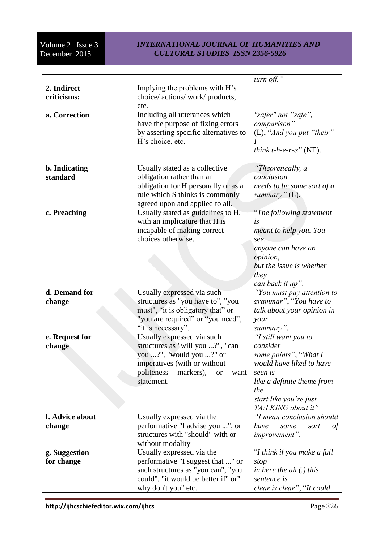|                             |                                                                                                                                                                                          | turn off."                                                                                                                                                                            |
|-----------------------------|------------------------------------------------------------------------------------------------------------------------------------------------------------------------------------------|---------------------------------------------------------------------------------------------------------------------------------------------------------------------------------------|
| 2. Indirect<br>criticisms:  | Implying the problems with H's<br>choice/ actions/ work/ products,<br>etc.                                                                                                               |                                                                                                                                                                                       |
| a. Correction               | Including all utterances which<br>have the purpose of fixing errors<br>by asserting specific alternatives to<br>H's choice, etc.                                                         | "safer" not "safe",<br>comparison"<br>$(L)$ , "And you put "their"<br><i>think t-h-e-r-e</i> " (NE).                                                                                  |
| b. Indicating<br>standard   | Usually stated as a collective<br>obligation rather than an<br>obligation for H personally or as a<br>rule which S thinks is commonly<br>agreed upon and applied to all.                 | "Theoretically, a<br>conclusion<br>needs to be some sort of a<br>summary" $(L)$ .                                                                                                     |
| c. Preaching                | Usually stated as guidelines to H,<br>with an implicature that H is<br>incapable of making correct<br>choices otherwise.                                                                 | "The following statement"<br>is<br>meant to help you. You<br>see,<br>anyone can have an<br>opinion,<br>but the issue is whether<br>they<br>can back it up".                           |
| d. Demand for<br>change     | Usually expressed via such<br>structures as "you have to", "you<br>must", "it is obligatory that" or<br>"you are required" or "you need",<br>"it is necessary".                          | "You must pay attention to<br>grammar", "You have to<br>talk about your opinion in<br>your<br>summary".                                                                               |
| e. Request for<br>change    | Usually expressed via such<br>structures as "will you ?", "can<br>you ?", "would you ?" or<br>imperatives (with or without<br>politeness<br>markers),<br><b>or</b><br>want<br>statement. | "I still want you to<br>consider<br>some points", "What I<br>would have liked to have<br>seen is<br>like a definite theme from<br>the<br>start like you're just<br>TA:LKING about it" |
| f. Advice about<br>change   | Usually expressed via the<br>performative "I advise you ", or<br>structures with "should" with or<br>without modality                                                                    | "I mean conclusion should<br>have<br>sort<br>some<br>οf<br>improvement".                                                                                                              |
| g. Suggestion<br>for change | Usually expressed via the<br>performative "I suggest that " or<br>such structures as "you can", "you<br>could", "it would be better if" or"<br>why don't you" etc.                       | "I think if you make a full<br>stop<br>in here the $ah(.)$ this<br>sentence is<br>clear is clear", "It could                                                                          |